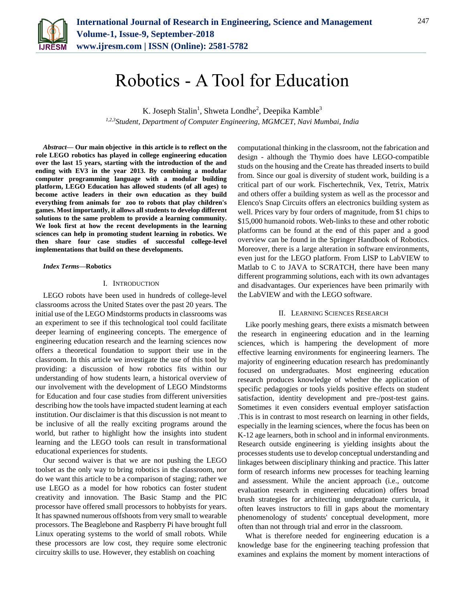

# Robotics - A Tool for Education

K. Joseph Stalin<sup>1</sup>, Shweta Londhe<sup>2</sup>, Deepika Kamble<sup>3</sup> *1,2,3Student, Department of Computer Engineering, MGMCET, Navi Mumbai, India*

*Abstract***— Our main objective in this article is to reflect on the role LEGO robotics has played in college engineering education over the last 15 years, starting with the introduction of the and ending with EV3 in the year 2013. By combining a modular computer programming language with a modular building platform, LEGO Education has allowed students (of all ages) to become active leaders in their own education as they build everything from animals for zoo to robots that play children's games. Most importantly, it allows all students to develop different solutions to the same problem to provide a learning community. We look first at how the recent developments in the learning sciences can help in promoting student learning in robotics. We then share four case studies of successful college-level implementations that build on these developments.**

#### *Index Terms***—Robotics**

### I. INTRODUCTION

LEGO robots have been used in hundreds of college-level classrooms across the United States over the past 20 years. The initial use of the LEGO Mindstorms products in classrooms was an experiment to see if this technological tool could facilitate deeper learning of engineering concepts. The emergence of engineering education research and the learning sciences now offers a theoretical foundation to support their use in the classroom. In this article we investigate the use of this tool by providing: a discussion of how robotics fits within our understanding of how students learn, a historical overview of our involvement with the development of LEGO Mindstorms for Education and four case studies from different universities describing how the tools have impacted student learning at each institution. Our disclaimer is that this discussion is not meant to be inclusive of all the really exciting programs around the world, but rather to highlight how the insights into student learning and the LEGO tools can result in transformational educational experiences for students.

Our second waiver is that we are not pushing the LEGO toolset as the only way to bring robotics in the classroom, nor do we want this article to be a comparison of staging; rather we use LEGO as a model for how robotics can foster student creativity and innovation. The Basic Stamp and the PIC processor have offered small processors to hobbyists for years. It has spawned numerous offshoots from very small to wearable processors. The Beaglebone and Raspberry Pi have brought full Linux operating systems to the world of small robots. While these processors are low cost, they require some electronic circuitry skills to use. However, they establish on coaching

computational thinking in the classroom, not the fabrication and design - although the Thymio does have LEGO-compatible studs on the housing and the Create has threaded inserts to build from. Since our goal is diversity of student work, building is a critical part of our work. Fischertechnik, Vex, Tetrix, Matrix and others offer a building system as well as the processor and Elenco's Snap Circuits offers an electronics building system as well. Prices vary by four orders of magnitude, from \$1 chips to \$15,000 humanoid robots. Web-links to these and other robotic platforms can be found at the end of this paper and a good overview can be found in the Springer Handbook of Robotics. Moreover, there is a large alteration in software environments, even just for the LEGO platform. From LISP to LabVIEW to Matlab to C to JAVA to SCRATCH, there have been many different programming solutions, each with its own advantages and disadvantages. Our experiences have been primarily with the LabVIEW and with the LEGO software.

# II. LEARNING SCIENCES RESEARCH

Like poorly meshing gears, there exists a mismatch between the research in engineering education and in the learning sciences, which is hampering the development of more effective learning environments for engineering learners. The majority of engineering education research has predominantly focused on undergraduates. Most engineering education research produces knowledge of whether the application of specific pedagogies or tools yields positive effects on student satisfaction, identity development and pre-/post-test gains. Sometimes it even considers eventual employer satisfaction .This is in contrast to most research on learning in other fields, especially in the learning sciences, where the focus has been on K-12 age learners, both in school and in informal environments. Research outside engineering is yielding insights about the processes students use to develop conceptual understanding and linkages between disciplinary thinking and practice. This latter form of research informs new processes for teaching learning and assessment. While the ancient approach (i.e., outcome evaluation research in engineering education) offers broad brush strategies for architecting undergraduate curricula, it often leaves instructors to fill in gaps about the momentary phenomenology of students' conceptual development, more often than not through trial and error in the classroom.

What is therefore needed for engineering education is a knowledge base for the engineering teaching profession that examines and explains the moment by moment interactions of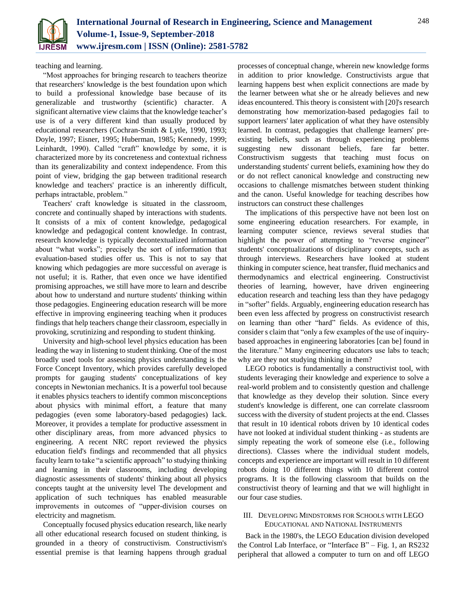

teaching and learning.

"Most approaches for bringing research to teachers theorize that researchers' knowledge is the best foundation upon which to build a professional knowledge base because of its generalizable and trustworthy (scientific) character. A significant alternative view claims that the knowledge teacher's use is of a very different kind than usually produced by educational researchers (Cochran-Smith & Lytle, 1990, 1993; Doyle, 1997; Eisner, 1995; Huberman, 1985; Kennedy, 1999; Leinhardt, 1990). Called "craft" knowledge by some, it is characterized more by its concreteness and contextual richness than its generalizability and context independence. From this point of view, bridging the gap between traditional research knowledge and teachers' practice is an inherently difficult, perhaps intractable, problem."

Teachers' craft knowledge is situated in the classroom, concrete and continually shaped by interactions with students. It consists of a mix of content knowledge, pedagogical knowledge and pedagogical content knowledge. In contrast, research knowledge is typically decontextualized information about "what works"; precisely the sort of information that evaluation-based studies offer us. This is not to say that knowing which pedagogies are more successful on average is not useful; it is. Rather, that even once we have identified promising approaches, we still have more to learn and describe about how to understand and nurture students' thinking within those pedagogies. Engineering education research will be more effective in improving engineering teaching when it produces findings that help teachers change their classroom, especially in provoking, scrutinizing and responding to student thinking.

University and high-school level physics education has been leading the way in listening to student thinking. One of the most broadly used tools for assessing physics understanding is the Force Concept Inventory, which provides carefully developed prompts for gauging students' conceptualizations of key concepts in Newtonian mechanics. It is a powerful tool because it enables physics teachers to identify common misconceptions about physics with minimal effort, a feature that many pedagogies (even some laboratory-based pedagogies) lack. Moreover, it provides a template for productive assessment in other disciplinary areas, from more advanced physics to engineering. A recent NRC report reviewed the physics education field's findings and recommended that all physics faculty learn to take "a scientific approach" to studying thinking and learning in their classrooms, including developing diagnostic assessments of students' thinking about all physics concepts taught at the university level The development and application of such techniques has enabled measurable improvements in outcomes of "upper-division courses on electricity and magnetism.

Conceptually focused physics education research, like nearly all other educational research focused on student thinking, is grounded in a theory of constructivism. Constructivism's essential premise is that learning happens through gradual

processes of conceptual change, wherein new knowledge forms in addition to prior knowledge. Constructivists argue that learning happens best when explicit connections are made by the learner between what she or he already believes and new ideas encountered. This theory is consistent with [20]'s research demonstrating how memorization-based pedagogies fail to support learners' later application of what they have ostensibly learned. In contrast, pedagogies that challenge learners' preexisting beliefs, such as through experiencing problems suggesting new dissonant beliefs, fare far better. Constructivism suggests that teaching must focus on understanding students' current beliefs, examining how they do or do not reflect canonical knowledge and constructing new occasions to challenge mismatches between student thinking and the canon. Useful knowledge for teaching describes how instructors can construct these challenges

The implications of this perspective have not been lost on some engineering education researchers. For example, in learning computer science, reviews several studies that highlight the power of attempting to "reverse engineer" students' conceptualizations of disciplinary concepts, such as through interviews. Researchers have looked at student thinking in computer science, heat transfer, fluid mechanics and thermodynamics and electrical engineering. Constructivist theories of learning, however, have driven engineering education research and teaching less than they have pedagogy in "softer" fields. Arguably, engineering education research has been even less affected by progress on constructivist research on learning than other "hard" fields. As evidence of this, consider s claim that "only a few examples of the use of inquirybased approaches in engineering laboratories [can be] found in the literature." Many engineering educators use labs to teach; why are they not studying thinking in them?

LEGO robotics is fundamentally a constructivist tool, with students leveraging their knowledge and experience to solve a real-world problem and to consistently question and challenge that knowledge as they develop their solution. Since every student's knowledge is different, one can correlate classroom success with the diversity of student projects at the end. Classes that result in 10 identical robots driven by 10 identical codes have not looked at individual student thinking - as students are simply repeating the work of someone else (i.e., following directions). Classes where the individual student models, concepts and experience are important will result in 10 different robots doing 10 different things with 10 different control programs. It is the following classroom that builds on the constructivist theory of learning and that we will highlight in our four case studies.

# III. DEVELOPING MINDSTORMS FOR SCHOOLS WITH LEGO EDUCATIONAL AND NATIONAL INSTRUMENTS

Back in the 1980's, the LEGO Education division developed the Control Lab Interface, or "Interface B" – Fig. 1, an RS232 peripheral that allowed a computer to turn on and off LEGO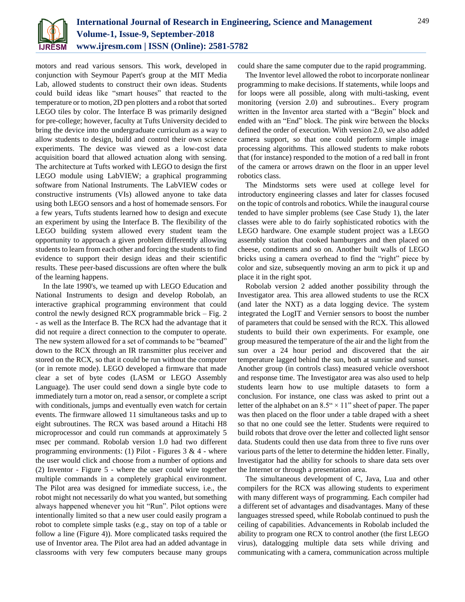

motors and read various sensors. This work, developed in conjunction with Seymour Papert's group at the MIT Media Lab, allowed students to construct their own ideas. Students could build ideas like "smart houses" that reacted to the temperature or to motion, 2D pen plotters and a robot that sorted LEGO tiles by color. The Interface B was primarily designed for pre-college; however, faculty at Tufts University decided to bring the device into the undergraduate curriculum as a way to allow students to design, build and control their own science experiments. The device was viewed as a low-cost data acquisition board that allowed actuation along with sensing. The architecture at Tufts worked with LEGO to design the first LEGO module using LabVIEW; a graphical programming software from National Instruments. The LabVIEW codes or constructive instruments (VIs) allowed anyone to take data using both LEGO sensors and a host of homemade sensors. For a few years, Tufts students learned how to design and execute an experiment by using the Interface B. The flexibility of the LEGO building system allowed every student team the opportunity to approach a given problem differently allowing students to learn from each other and forcing the students to find evidence to support their design ideas and their scientific results. These peer-based discussions are often where the bulk of the learning happens.

In the late 1990's, we teamed up with LEGO Education and National Instruments to design and develop Robolab, an interactive graphical programming environment that could control the newly designed RCX programmable brick – Fig. 2 - as well as the Interface B. The RCX had the advantage that it did not require a direct connection to the computer to operate. The new system allowed for a set of commands to be "beamed" down to the RCX through an IR transmitter plus receiver and stored on the RCX, so that it could be run without the computer (or in remote mode). LEGO developed a firmware that made clear a set of byte codes (LASM or LEGO Assembly Language). The user could send down a single byte code to immediately turn a motor on, read a sensor, or complete a script with conditionals, jumps and eventually even watch for certain events. The firmware allowed 11 simultaneous tasks and up to eight subroutines. The RCX was based around a Hitachi H8 microprocessor and could run commands at approximately 5 msec per command. Robolab version 1.0 had two different programming environments: (1) Pilot - Figures  $3 & 4$  - where the user would click and choose from a number of options and (2) Inventor - Figure 5 - where the user could wire together multiple commands in a completely graphical environment. The Pilot area was designed for immediate success, i.e., the robot might not necessarily do what you wanted, but something always happened whenever you hit "Run". Pilot options were intentionally limited so that a new user could easily program a robot to complete simple tasks (e.g., stay on top of a table or follow a line (Figure 4)). More complicated tasks required the use of Inventor area. The Pilot area had an added advantage in classrooms with very few computers because many groups

could share the same computer due to the rapid programming.

The Inventor level allowed the robot to incorporate nonlinear programming to make decisions. If statements, while loops and for loops were all possible, along with multi-tasking, event monitoring (version 2.0) and subroutines.. Every program written in the Inventor area started with a "Begin" block and ended with an "End" block. The pink wire between the blocks defined the order of execution. With version 2.0, we also added camera support, so that one could perform simple image processing algorithms. This allowed students to make robots that (for instance) responded to the motion of a red ball in front of the camera or arrows drawn on the floor in an upper level robotics class.

The Mindstorms sets were used at college level for introductory engineering classes and later for classes focused on the topic of controls and robotics. While the inaugural course tended to have simpler problems (see Case Study 1), the later classes were able to do fairly sophisticated robotics with the LEGO hardware. One example student project was a LEGO assembly station that cooked hamburgers and then placed on cheese, condiments and so on. Another built walls of LEGO bricks using a camera overhead to find the "right" piece by color and size, subsequently moving an arm to pick it up and place it in the right spot.

Robolab version 2 added another possibility through the Investigator area. This area allowed students to use the RCX (and later the NXT) as a data logging device. The system integrated the LogIT and Vernier sensors to boost the number of parameters that could be sensed with the RCX. This allowed students to build their own experiments. For example, one group measured the temperature of the air and the light from the sun over a 24 hour period and discovered that the air temperature lagged behind the sun, both at sunrise and sunset. Another group (in controls class) measured vehicle overshoot and response time. The Investigator area was also used to help students learn how to use multiple datasets to form a conclusion. For instance, one class was asked to print out a letter of the alphabet on an 8.5" × 11" sheet of paper. The paper was then placed on the floor under a table draped with a sheet so that no one could see the letter. Students were required to build robots that drove over the letter and collected light sensor data. Students could then use data from three to five runs over various parts of the letter to determine the hidden letter. Finally, Investigator had the ability for schools to share data sets over the Internet or through a presentation area.

The simultaneous development of C, Java, Lua and other compilers for the RCX was allowing students to experiment with many different ways of programming. Each compiler had a different set of advantages and disadvantages. Many of these languages stressed speed, while Robolab continued to push the ceiling of capabilities. Advancements in Robolab included the ability to program one RCX to control another (the first LEGO virus), datalogging multiple data sets while driving and communicating with a camera, communication across multiple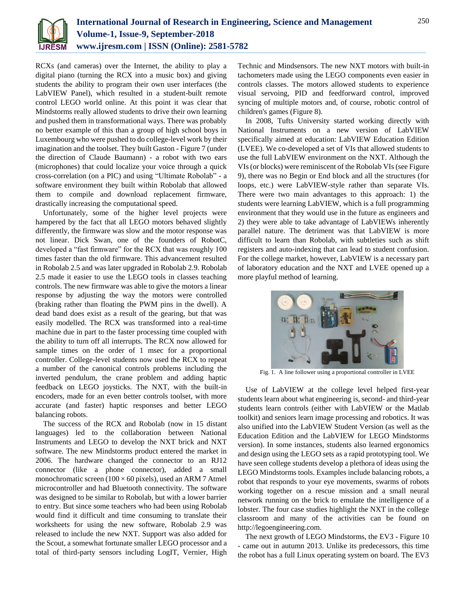

RCXs (and cameras) over the Internet, the ability to play a digital piano (turning the RCX into a music box) and giving students the ability to program their own user interfaces (the LabVIEW Panel), which resulted in a student-built remote control LEGO world online. At this point it was clear that Mindstorms really allowed students to drive their own learning and pushed them in transformational ways. There was probably no better example of this than a group of high school boys in Luxembourg who were pushed to do college-level work by their imagination and the toolset. They built Gaston - Figure 7 (under the direction of Claude Baumann) - a robot with two ears (microphones) that could localize your voice through a quick cross-correlation (on a PIC) and using "Ultimate Robolab" - a software environment they built within Robolab that allowed them to compile and download replacement firmware, drastically increasing the computational speed.

Unfortunately, some of the higher level projects were hampered by the fact that all LEGO motors behaved slightly differently, the firmware was slow and the motor response was not linear. Dick Swan, one of the founders of RobotC, developed a "fast firmware" for the RCX that was roughly 100 times faster than the old firmware. This advancement resulted in Robolab 2.5 and was later upgraded in Robolab 2.9. Robolab 2.5 made it easier to use the LEGO tools in classes teaching controls. The new firmware was able to give the motors a linear response by adjusting the way the motors were controlled (braking rather than floating the PWM pins in the dwell). A dead band does exist as a result of the gearing, but that was easily modelled. The RCX was transformed into a real-time machine due in part to the faster processing time coupled with the ability to turn off all interrupts. The RCX now allowed for sample times on the order of 1 msec for a proportional controller. College-level students now used the RCX to repeat a number of the canonical controls problems including the inverted pendulum, the crane problem and adding haptic feedback on LEGO joysticks. The NXT, with the built-in encoders, made for an even better controls toolset, with more accurate (and faster) haptic responses and better LEGO balancing robots.

The success of the RCX and Robolab (now in 15 distant languages) led to the collaboration between National Instruments and LEGO to develop the NXT brick and NXT software. The new Mindstorms product entered the market in 2006. The hardware changed the connector to an RJ12 connector (like a phone connector), added a small monochromatic screen (100  $\times$  60 pixels), used an ARM 7 Atmel microcontroller and had Bluetooth connectivity. The software was designed to be similar to Robolab, but with a lower barrier to entry. But since some teachers who had been using Robolab would find it difficult and time consuming to translate their worksheets for using the new software, Robolab 2.9 was released to include the new NXT. Support was also added for the Scout, a somewhat fortunate smaller LEGO processor and a total of third-party sensors including LogIT, Vernier, High

Technic and Mindsensors. The new NXT motors with built-in tachometers made using the LEGO components even easier in controls classes. The motors allowed students to experience visual servoing, PID and feedforward control, improved syncing of multiple motors and, of course, robotic control of children's games (Figure 8).

In 2008, Tufts University started working directly with National Instruments on a new version of LabVIEW specifically aimed at education: LabVIEW Education Edition (LVEE). We co-developed a set of VIs that allowed students to use the full LabVIEW environment on the NXT. Although the VIs (or blocks) were reminiscent of the Robolab VIs (see Figure 9), there was no Begin or End block and all the structures (for loops, etc.) were LabVIEW-style rather than separate VIs. There were two main advantages to this approach: 1) the students were learning LabVIEW, which is a full programming environment that they would use in the future as engineers and 2) they were able to take advantage of LabVIEWs inherently parallel nature. The detriment was that LabVIEW is more difficult to learn than Robolab, with subtleties such as shift registers and auto-indexing that can lead to student confusion. For the college market, however, LabVIEW is a necessary part of laboratory education and the NXT and LVEE opened up a more playful method of learning.



Fig. 1. A line follower using a proportional controller in LVEE

Use of LabVIEW at the college level helped first-year students learn about what engineering is, second- and third-year students learn controls (either with LabVIEW or the Matlab toolkit) and seniors learn image processing and robotics. It was also unified into the LabVIEW Student Version (as well as the Education Edition and the LabVIEW for LEGO Mindstorms version). In some instances, students also learned ergonomics and design using the LEGO sets as a rapid prototyping tool. We have seen college students develop a plethora of ideas using the LEGO Mindstorms tools. Examples include balancing robots, a robot that responds to your eye movements, swarms of robots working together on a rescue mission and a small neural network running on the brick to emulate the intelligence of a lobster. The four case studies highlight the NXT in the college classroom and many of the activities can be found on http://legoengineering.com.

The next growth of LEGO Mindstorms, the EV3 - Figure 10 - came out in autumn 2013. Unlike its predecessors, this time the robot has a full Linux operating system on board. The EV3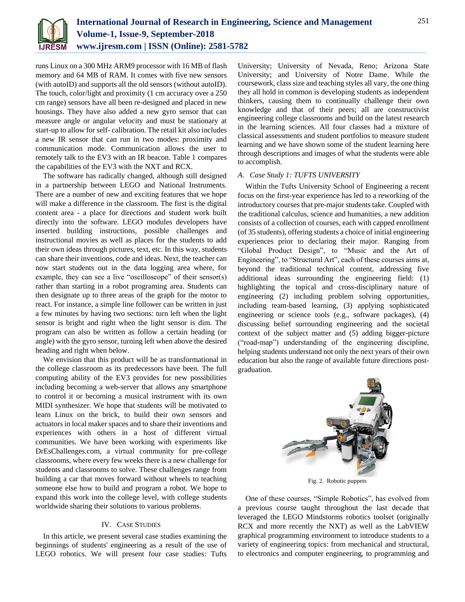

runs Linux on a 300 MHz ARM9 processor with 16 MB of flash memory and 64 MB of RAM. It comes with five new sensors (with autoID) and supports all the old sensors (without autoID). The touch, color/light and proximity (1 cm accuracy over a 250 cm range) sensors have all been re-designed and placed in new housings. They have also added a new gyro sensor that can measure angle or angular velocity and must be stationary at start-up to allow for self- calibration. The retail kit also includes a new IR sensor that can run in two modes: proximity and communication mode. Communication allows the user to remotely talk to the EV3 with an IR beacon. Table 1 compares the capabilities of the EV3 with the NXT and RCX.

The software has radically changed, although still designed in a partnership between LEGO and National Instruments. There are a number of new and exciting features that we hope will make a difference in the classroom. The first is the digital content area - a place for directions and student work built directly into the software. LEGO modules developers have inserted building instructions, possible challenges and instructional movies as well as places for the students to add their own ideas through pictures, text, etc. In this way, students can share their inventions, code and ideas. Next, the teacher can now start students out in the data logging area where, for example, they can see a live "oscilloscope" of their sensor(s) rather than starting in a robot programing area. Students can then designate up to three areas of the graph for the motor to react. For instance, a simple line follower can be written in just a few minutes by having two sections: turn left when the light sensor is bright and right when the light sensor is dim. The program can also be written as follow a certain heading (or angle) with the gyro sensor, turning left when above the desired heading and right when below.

We envision that this product will be as transformational in the college classroom as its predecessors have been. The full computing ability of the EV3 provides for new possibilities including becoming a web-server that allows any smartphone to control it or becoming a musical instrument with its own MIDI synthesizer. We hope that students will be motivated to learn Linux on the brick, to build their own sensors and actuators in local maker spaces and to share their inventions and experiences with others in a host of different virtual communities. We have been working with experiments like DrEsChallenges.com, a virtual community for pre-college classrooms, where every few weeks there is a new challenge for students and classrooms to solve. These challenges range from building a car that moves forward without wheels to teaching someone else how to build and program a robot. We hope to expand this work into the college level, with college students worldwide sharing their solutions to various problems.

# IV. CASE STUDIES

In this article, we present several case studies examining the beginnings of students' engineering as a result of the use of LEGO robotics. We will present four case studies: Tufts University; University of Nevada, Reno; Arizona State University; and University of Notre Dame. While the coursework, class size and teaching styles all vary, the one thing they all hold in common is developing students as independent thinkers, causing them to continually challenge their own knowledge and that of their peers; all are constructivist engineering college classrooms and build on the latest research in the learning sciences. All four classes had a mixture of classical assessments and student portfolios to measure student learning and we have shown some of the student learning here through descriptions and images of what the students were able to accomplish.

# *A. Case Study 1: TUFTS UNIVERSITY*

Within the Tufts University School of Engineering a recent focus on the first-year experience has led to a reworking of the introductory courses that pre-major students take. Coupled with the traditional calculus, science and humanities, a new addition consists of a collection of courses, each with capped enrollment (of 35 students), offering students a choice of initial engineering experiences prior to declaring their major. Ranging from "Global Product Design", to "Music and the Art of Engineering", to "Structural Art", each of these courses aims at, beyond the traditional technical content, addressing five additional ideas surrounding the engineering field: (1) highlighting the topical and cross-disciplinary nature of engineering (2) including problem solving opportunities, including team-based learning, (3) applying sophisticated engineering or science tools (e.g., software packages), (4) discussing belief surrounding engineering and the societal context of the subject matter and (5) adding bigger-picture ("road-map") understanding of the engineering discipline, helping students understand not only the next years of their own education but also the range of available future directions postgraduation.



Fig. 2. Robotic puppets

One of these courses, "Simple Robotics", has evolved from a previous course taught throughout the last decade that leveraged the LEGO Mindstorms robotics toolset (originally RCX and more recently the NXT) as well as the LabVIEW graphical programming environment to introduce students to a variety of engineering topics: from mechanical and structural, to electronics and computer engineering, to programming and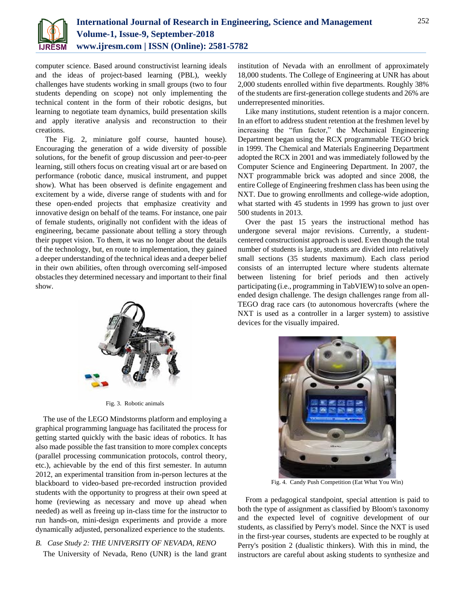

computer science. Based around constructivist learning ideals and the ideas of project-based learning (PBL), weekly challenges have students working in small groups (two to four students depending on scope) not only implementing the technical content in the form of their robotic designs, but learning to negotiate team dynamics, build presentation skills and apply iterative analysis and reconstruction to their creations.

The Fig. 2, miniature golf course, haunted house). Encouraging the generation of a wide diversity of possible solutions, for the benefit of group discussion and peer-to-peer learning, still others focus on creating visual art or are based on performance (robotic dance, musical instrument, and puppet show). What has been observed is definite engagement and excitement by a wide, diverse range of students with and for these open-ended projects that emphasize creativity and innovative design on behalf of the teams. For instance, one pair of female students, originally not confident with the ideas of engineering, became passionate about telling a story through their puppet vision. To them, it was no longer about the details of the technology, but, en route to implementation, they gained a deeper understanding of the technical ideas and a deeper belief in their own abilities, often through overcoming self-imposed obstacles they determined necessary and important to their final show.



Fig. 3. Robotic animals

The use of the LEGO Mindstorms platform and employing a graphical programming language has facilitated the process for getting started quickly with the basic ideas of robotics. It has also made possible the fast transition to more complex concepts (parallel processing communication protocols, control theory, etc.), achievable by the end of this first semester. In autumn 2012, an experimental transition from in-person lectures at the blackboard to video-based pre-recorded instruction provided students with the opportunity to progress at their own speed at home (reviewing as necessary and move up ahead when needed) as well as freeing up in-class time for the instructor to run hands-on, mini-design experiments and provide a more dynamically adjusted, personalized experience to the students.

# *B. Case Study 2: THE UNIVERSITY OF NEVADA, RENO*

The University of Nevada, Reno (UNR) is the land grant

institution of Nevada with an enrollment of approximately 18,000 students. The College of Engineering at UNR has about 2,000 students enrolled within five departments. Roughly 38% of the students are first-generation college students and 26% are underrepresented minorities.

Like many institutions, student retention is a major concern. In an effort to address student retention at the freshmen level by increasing the "fun factor," the Mechanical Engineering Department began using the RCX programmable TEGO brick in 1999. The Chemical and Materials Engineering Department adopted the RCX in 2001 and was immediately followed by the Computer Science and Engineering Department. In 2007, the NXT programmable brick was adopted and since 2008, the entire College of Engineering freshmen class has been using the NXT. Due to growing enrollments and college-wide adoption, what started with 45 students in 1999 has grown to just over 500 students in 2013.

Over the past 15 years the instructional method has undergone several major revisions. Currently, a studentcentered constructionist approach is used. Even though the total number of students is large, students are divided into relatively small sections (35 students maximum). Each class period consists of an interrupted lecture where students alternate between listening for brief periods and then actively participating (i.e., programming in TabVIEW) to solve an openended design challenge. The design challenges range from all-TEGO drag race cars (to autonomous hovercrafts (where the NXT is used as a controller in a larger system) to assistive devices for the visually impaired.



Fig. 4. Candy Push Competition (Eat What You Win)

From a pedagogical standpoint, special attention is paid to both the type of assignment as classified by Bloom's taxonomy and the expected level of cognitive development of our students, as classified by Perry's model. Since the NXT is used in the first-year courses, students are expected to be roughly at Perry's position 2 (dualistic thinkers). With this in mind, the instructors are careful about asking students to synthesize and